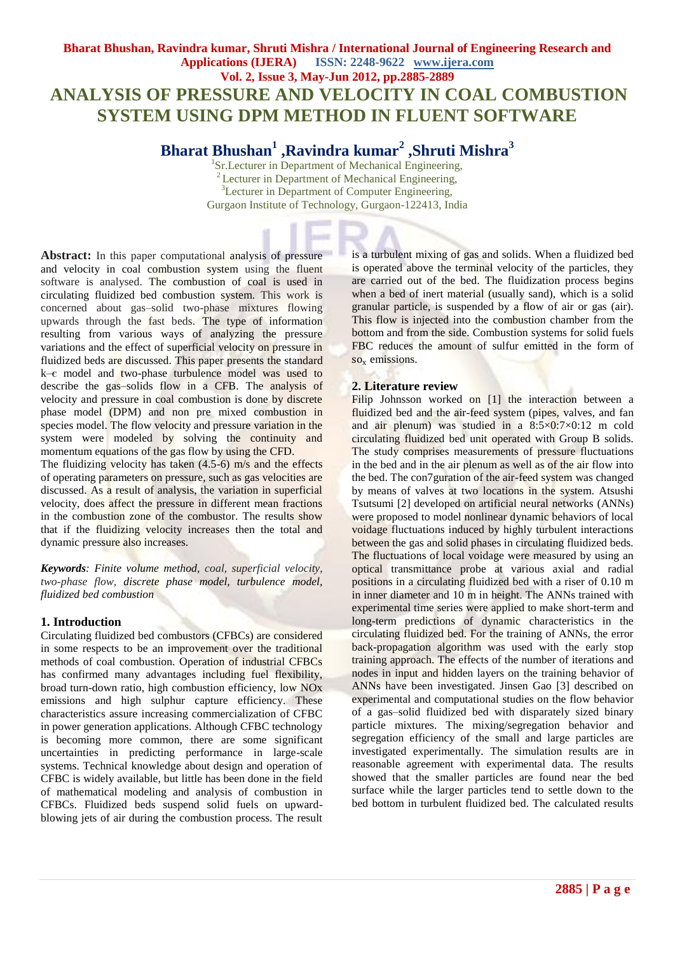## **Bharat Bhushan, Ravindra kumar, Shruti Mishra / International Journal of Engineering Research and Applications (IJERA) ISSN: 2248-9622 www.ijera.com Vol. 2, Issue 3, May-Jun 2012, pp.2885-2889 ANALYSIS OF PRESSURE AND VELOCITY IN COAL COMBUSTION SYSTEM USING DPM METHOD IN FLUENT SOFTWARE**

# **Bharat Bhushan<sup>1</sup> ,Ravindra kumar<sup>2</sup> ,Shruti Mishra<sup>3</sup>**

<sup>1</sup>Sr.Lecturer in Department of Mechanical Engineering, <sup>2</sup> Lecturer in Department of Mechanical Engineering, <sup>3</sup>Lecturer in Department of Computer Engineering, Gurgaon Institute of Technology, Gurgaon-122413, India

**Abstract:** In this paper computational analysis of pressure and velocity in coal combustion system using the fluent software is analysed. The combustion of coal is used in circulating fluidized bed combustion system. This work is concerned about gas–solid two-phase mixtures flowing upwards through the fast beds. The type of information resulting from various ways of analyzing the pressure variations and the effect of superficial velocity on pressure in fluidized beds are discussed. This paper presents the standard k–є model and two-phase turbulence model was used to describe the gas–solids flow in a CFB. The analysis of velocity and pressure in coal combustion is done by discrete phase model (DPM) and non pre mixed combustion in species model. The flow velocity and pressure variation in the system were modeled by solving the continuity and momentum equations of the gas flow by using the CFD.

The fluidizing velocity has taken (4.5-6) m/s and the effects of operating parameters on pressure, such as gas velocities are discussed. As a result of analysis, the variation in superficial velocity, does affect the pressure in different mean fractions in the combustion zone of the combustor. The results show that if the fluidizing velocity increases then the total and dynamic pressure also increases.

*Keywords: Finite volume method, coal, superficial velocity, two-phase flow, discrete phase model, turbulence model, fluidized bed combustion*

## **1. Introduction**

Circulating fluidized bed combustors (CFBCs) are considered in some respects to be an improvement over the traditional methods of coal combustion. Operation of industrial CFBCs has confirmed many advantages including fuel flexibility, broad turn-down ratio, high combustion efficiency, low NOx emissions and high sulphur capture efficiency. These characteristics assure increasing commercialization of CFBC in power generation applications. Although CFBC technology is becoming more common, there are some significant uncertainties in predicting performance in large-scale systems. Technical knowledge about design and operation of CFBC is widely available, but little has been done in the field of mathematical modeling and analysis of combustion in CFBCs. Fluidized beds suspend solid fuels on upwardblowing jets of air during the combustion process. The result is a turbulent mixing of gas and solids. When a fluidized bed is operated above the terminal velocity of the particles, they are carried out of the bed. The fluidization process begins when a bed of inert material (usually sand), which is a solid granular particle, is suspended by a flow of air or gas (air). This flow is injected into the combustion chamber from the bottom and from the side. Combustion systems for solid fuels FBC reduces the amount of [sulfur](http://en.wikipedia.org/wiki/Sulfur) emitted in the form of so<sub>x</sub> emissions.

## **2. Literature review**

Filip Johnsson worked on [1] the interaction between a fluidized bed and the air-feed system (pipes, valves, and fan and air plenum) was studied in a  $8:5 \times 0.7 \times 0.12$  m cold circulating fluidized bed unit operated with Group B solids. The study comprises measurements of pressure fluctuations in the bed and in the air plenum as well as of the air flow into the bed. The con7guration of the air-feed system was changed by means of valves at two locations in the system. Atsushi Tsutsumi [2] developed on artificial neural networks (ANNs) were proposed to model nonlinear dynamic behaviors of local voidage fluctuations induced by highly turbulent interactions between the gas and solid phases in circulating fluidized beds. The fluctuations of local voidage were measured by using an optical transmittance probe at various axial and radial positions in a circulating fluidized bed with a riser of 0.10 m in inner diameter and 10 m in height. The ANNs trained with experimental time series were applied to make short-term and long-term predictions of dynamic characteristics in the circulating fluidized bed. For the training of ANNs, the error back-propagation algorithm was used with the early stop training approach. The effects of the number of iterations and nodes in input and hidden layers on the training behavior of ANNs have been investigated. Jinsen Gao [3] described on experimental and computational studies on the flow behavior of a gas–solid fluidized bed with disparately sized binary particle mixtures. The mixing/segregation behavior and segregation efficiency of the small and large particles are investigated experimentally. The simulation results are in reasonable agreement with experimental data. The results showed that the smaller particles are found near the bed surface while the larger particles tend to settle down to the bed bottom in turbulent fluidized bed. The calculated results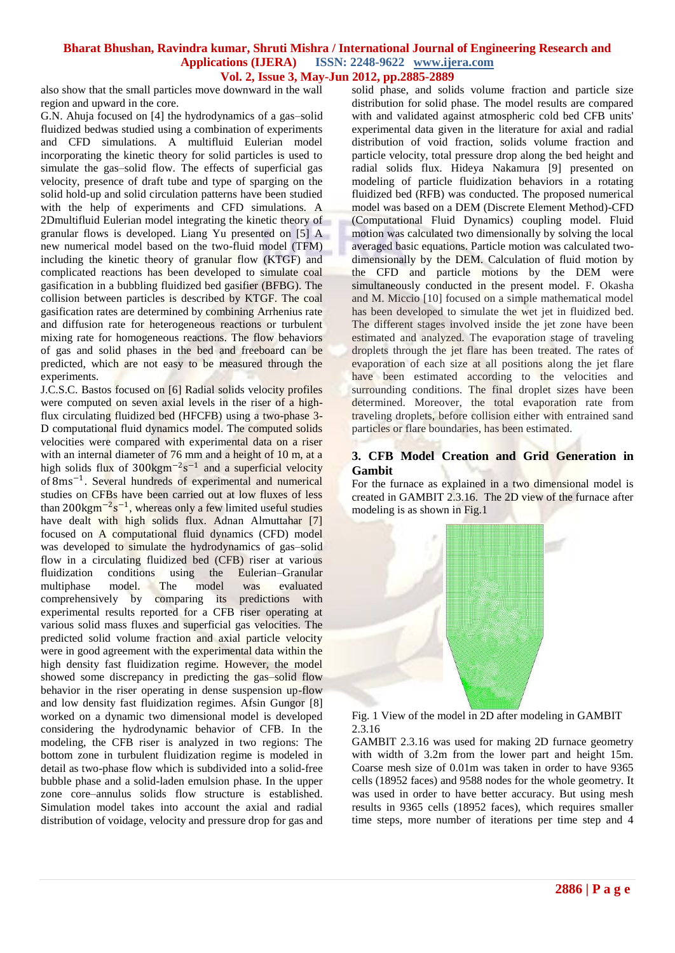also show that the small particles move downward in the wall region and upward in the core.

G.N. Ahuja focused on [4] the hydrodynamics of a gas–solid fluidized bedwas studied using a combination of experiments and CFD simulations. A multifluid Eulerian model incorporating the kinetic theory for solid particles is used to simulate the gas–solid flow. The effects of superficial gas velocity, presence of draft tube and type of sparging on the solid hold-up and solid circulation patterns have been studied with the help of experiments and CFD simulations. A 2Dmultifluid Eulerian model integrating the kinetic theory of granular flows is developed. Liang Yu presented on [5] A new numerical model based on the two-fluid model (TFM) including the kinetic theory of granular flow (KTGF) and complicated reactions has been developed to simulate coal gasification in a bubbling fluidized bed gasifier (BFBG). The collision between particles is described by KTGF. The coal gasification rates are determined by combining Arrhenius rate and diffusion rate for heterogeneous reactions or turbulent mixing rate for homogeneous reactions. The flow behaviors of gas and solid phases in the bed and freeboard can be predicted, which are not easy to be measured through the experiments.

J.C.S.C. Bastos focused on [6] Radial solids velocity profiles were computed on seven axial levels in the riser of a highflux circulating fluidized bed (HFCFB) using a two-phase 3- D computational fluid dynamics model. The computed solids velocities were compared with experimental data on a riser with an internal diameter of 76 mm and a height of 10 m, at a high solids flux of  $300 \text{kg} \text{m}^{-2} \text{s}^{-1}$  and a superficial velocity of 8ms<sup>-1</sup>. Several hundreds of experimental and numerical studies on CFBs have been carried out at low fluxes of less than 200kgm<sup>-2</sup>s<sup>-1</sup>, whereas only a few limited useful studies have dealt with high solids flux. Adnan Almuttahar [7] focused on A computational fluid dynamics (CFD) model was developed to simulate the hydrodynamics of gas-solid flow in a circulating fluidized bed (CFB) riser at various fluidization conditions using the Eulerian–Granular<br>multiphase model. The model was evaluated multiphase model. The model was evaluated comprehensively by comparing its predictions with experimental results reported for a CFB riser operating at various solid mass fluxes and superficial gas velocities. The predicted solid volume fraction and axial particle velocity were in good agreement with the experimental data within the high density fast fluidization regime. However, the model showed some discrepancy in predicting the gas–solid flow behavior in the riser operating in dense suspension up-flow and low density fast fluidization regimes. Afsin Gungor [8] worked on a dynamic two dimensional model is developed considering the hydrodynamic behavior of CFB. In the modeling, the CFB riser is analyzed in two regions: The bottom zone in turbulent fluidization regime is modeled in detail as two-phase flow which is subdivided into a solid-free bubble phase and a solid-laden emulsion phase. In the upper zone core–annulus solids flow structure is established. Simulation model takes into account the axial and radial distribution of voidage, velocity and pressure drop for gas and

solid phase, and solids volume fraction and particle size distribution for solid phase. The model results are compared with and validated against atmospheric cold bed CFB units' experimental data given in the literature for axial and radial distribution of void fraction, solids volume fraction and particle velocity, total pressure drop along the bed height and radial solids flux. Hideya Nakamura [9] presented on modeling of particle fluidization behaviors in a rotating fluidized bed (RFB) was conducted. The proposed numerical model was based on a DEM (Discrete Element Method)-CFD (Computational Fluid Dynamics) coupling model. Fluid motion was calculated two dimensionally by solving the local averaged basic equations. Particle motion was calculated twodimensionally by the DEM. Calculation of fluid motion by the CFD and particle motions by the DEM were simultaneously conducted in the present model. F. Okasha and M. Miccio [10] focused on a simple mathematical model has been developed to simulate the wet jet in fluidized bed. The different stages involved inside the jet zone have been estimated and analyzed. The evaporation stage of traveling droplets through the jet flare has been treated. The rates of evaporation of each size at all positions along the jet flare have been estimated according to the velocities and surrounding conditions. The final droplet sizes have been determined. Moreover, the total evaporation rate from traveling droplets, before collision either with entrained sand particles or flare boundaries, has been estimated.

#### **3. CFB Model Creation and Grid Generation in Gambit**

For the furnace as explained in a two dimensional model is created in GAMBIT 2.3.16. The 2D view of the furnace after modeling is as shown in Fig.1



Fig. 1 View of the model in 2D after modeling in GAMBIT 2.3.16

GAMBIT 2.3.16 was used for making 2D furnace geometry with width of 3.2m from the lower part and height 15m. Coarse mesh size of 0.01m was taken in order to have 9365 cells (18952 faces) and 9588 nodes for the whole geometry. It was used in order to have better accuracy. But using mesh results in 9365 cells (18952 faces), which requires smaller time steps, more number of iterations per time step and 4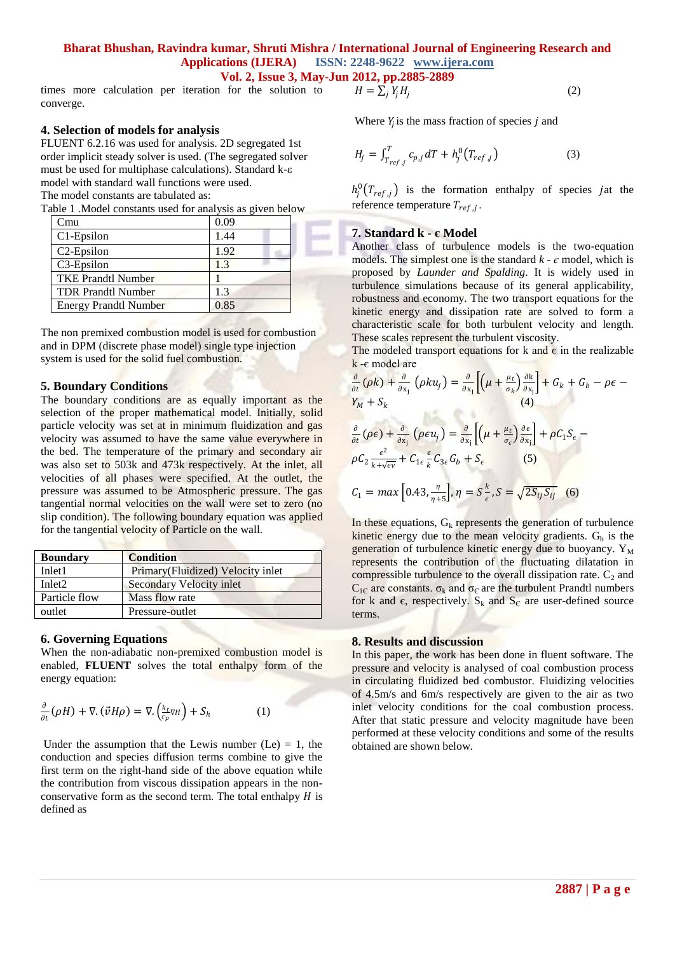times more calculation per iteration for the solution to converge.

#### **4. Selection of models for analysis**

FLUENT 6.2.16 was used for analysis. 2D segregated 1st order implicit steady solver is used. (The segregated solver must be used for multiphase calculations). Standard k-ε model with standard wall functions were used. The model constants are tabulated as:

|  |  | Table 1 .Model constants used for analysis as given below |  |  |  |  |  |  |  |  |
|--|--|-----------------------------------------------------------|--|--|--|--|--|--|--|--|
|--|--|-----------------------------------------------------------|--|--|--|--|--|--|--|--|

| ∑mu                          | 0.09 |  |
|------------------------------|------|--|
| $C1$ -Epsilon                | 1.44 |  |
| C <sub>2</sub> -Epsilon      | 1.92 |  |
| C <sub>3</sub> -Epsilon      | 13   |  |
| <b>TKE Prandtl Number</b>    |      |  |
| <b>TDR Prandtl Number</b>    | 13   |  |
| <b>Energy Prandtl Number</b> | 0.85 |  |

The non premixed combustion model is used for combustion and in DPM (discrete phase model) single type injection system is used for the solid fuel combustion.

#### **5. Boundary Conditions**

The boundary conditions are as equally important as the selection of the proper mathematical model. Initially, solid particle velocity was set at in minimum fluidization and gas velocity was assumed to have the same value everywhere in the bed. The temperature of the primary and secondary air was also set to 503k and 473k respectively. At the inlet, all velocities of all phases were specified. At the outlet, the pressure was assumed to be Atmospheric pressure. The gas tangential normal velocities on the wall were set to zero (no slip condition). The following boundary equation was applied for the tangential velocity of Particle on the wall.

| <b>Boundary</b>    | <b>Condition</b>                   |
|--------------------|------------------------------------|
| Inlet1             | Primary (Fluidized) Velocity inlet |
| Inlet <sub>2</sub> | Secondary Velocity inlet           |
| Particle flow      | Mass flow rate                     |
| outlet             | Pressure-outlet                    |

#### **6. Governing Equations**

When the non-adiabatic non-premixed combustion model is enabled, **FLUENT** solves the total enthalpy form of the energy equation:

$$
\frac{\partial}{\partial t}(\rho H) + \nabla \cdot (\vec{v} H \rho) = \nabla \cdot \left(\frac{k_t}{c_p} \nabla H\right) + S_h \tag{1}
$$

Under the assumption that the Lewis number  $(Le) = 1$ , the conduction and species diffusion terms combine to give the first term on the right-hand side of the above equation while the contribution from viscous dissipation appears in the nonconservative form as the second term. The total enthalpy  $H$  is defined as

$$
H = \sum_i Y_i H_i
$$

Where  $Y_j$  is the mass fraction of species  $j$  and

$$
H_j = \int_{T_{ref,j}}^{T} c_{p,j} dT + h_j^0(T_{ref,j})
$$
 (3)

 $h_j^0(T_{ref,j})$  is the formation enthalpy of species jat the reference temperature  $T_{ref,j}$ .

(2)

## **7. Standard k - є Model**

Another class of turbulence models is the two-equation models. The simplest one is the standard  $k - \epsilon$  model, which is proposed by *Launder and Spalding*. It is widely used in turbulence simulations because of its general applicability, robustness and economy. The two transport equations for the kinetic energy and dissipation rate are solved to form a characteristic scale for both turbulent velocity and length. These scales represent the turbulent viscosity.

The modeled transport equations for k and  $\epsilon$  in the realizable k -є model are

$$
\frac{\partial}{\partial t}(\rho k) + \frac{\partial}{\partial x_j}(\rho k u_j) = \frac{\partial}{\partial x_j} \left[ \left( \mu + \frac{\mu_t}{\sigma_k} \right) \frac{\partial k}{\partial x_j} \right] + G_k + G_b - \rho \epsilon -
$$
\n
$$
Y_M + S_k \tag{4}
$$

$$
\frac{\partial}{\partial t}(\rho \epsilon) + \frac{\partial}{\partial x_j}(\rho \epsilon u_j) = \frac{\partial}{\partial x_j} \left[ \left( \mu + \frac{\mu_t}{\sigma_{\epsilon}} \right) \frac{\partial \epsilon}{\partial x_j} \right] + \rho C_1 S_{\epsilon} - \rho C_2 \frac{\epsilon^2}{k + \sqrt{\epsilon \nu}} + C_{1\epsilon} \frac{\epsilon}{k} C_{3\epsilon} G_b + S_{\epsilon}
$$
\n(5)

$$
C_1 = \max\left[0.43, \frac{\eta}{\eta + 5}\right], \eta = S\frac{k}{\epsilon}, S = \sqrt{2S_{ij}S_{ij}} \quad (6)
$$

In these equations,  $G_k$  represents the generation of turbulence kinetic energy due to the mean velocity gradients.  $G_b$  is the generation of turbulence kinetic energy due to buoyancy.  $Y_M$ represents the contribution of the fluctuating dilatation in compressible turbulence to the overall dissipation rate.  $C_2$  and  $C_{1\text{C}}$  are constants.  $\sigma_k$  and  $\sigma_{\text{C}}$  are the turbulent Prandtl numbers for k and  $\epsilon$ , respectively. S<sub>k</sub> and S<sub>c</sub> are user-defined source terms.

#### **8. Results and discussion**

In this paper, the work has been done in fluent software. The pressure and velocity is analysed of coal combustion process in circulating fluidized bed combustor. Fluidizing velocities of 4.5m/s and 6m/s respectively are given to the air as two inlet velocity conditions for the coal combustion process. After that static pressure and velocity magnitude have been performed at these velocity conditions and some of the results obtained are shown below.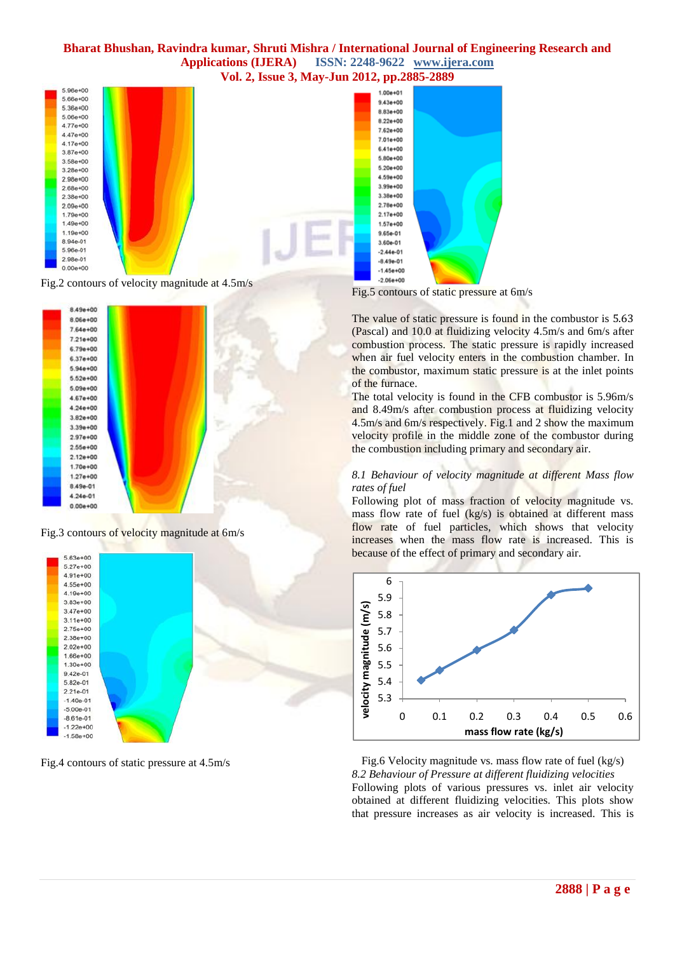

Fig.2 contours of velocity magnitude at 4.5m/s



Fig.3 contours of velocity magnitude at 6m/s



Fig.4 contours of static pressure at 4.5m/s



Fig.5 contours of static pressure at 6m/s

The value of static pressure is found in the combustor is 5.63 (Pascal) and 10.0 at fluidizing velocity 4.5m/s and 6m/s after combustion process. The static pressure is rapidly increased when air fuel velocity enters in the combustion chamber. In the combustor, maximum static pressure is at the inlet points of the furnace.

The total velocity is found in the CFB combustor is 5.96m/s and 8.49m/s after combustion process at fluidizing velocity 4.5m/s and 6m/s respectively. Fig.1 and 2 show the maximum velocity profile in the middle zone of the combustor during the combustion including primary and secondary air.

#### *8.1 Behaviour of velocity magnitude at different Mass flow rates of fuel*

Following plot of mass fraction of velocity magnitude vs. mass flow rate of fuel (kg/s) is obtained at different mass flow rate of fuel particles, which shows that velocity increases when the mass flow rate is increased. This is because of the effect of primary and secondary air.



Fig.6 Velocity magnitude vs. mass flow rate of fuel (kg/s) *8.2 Behaviour of Pressure at different fluidizing velocities* Following plots of various pressures vs. inlet air velocity obtained at different fluidizing velocities. This plots show that pressure increases as air velocity is increased. This is